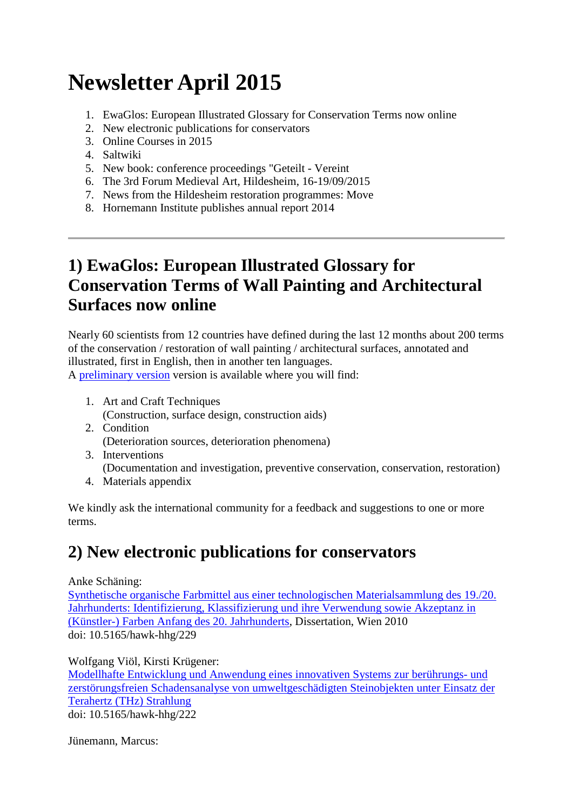# **Newsletter April 2015**

- 1. [EwaGlos: European Illustrated Glossary for Conservation Terms now online](https://www.hornemann-institut.de/english/newsletter_apr_15.php#1)
- 2. [New electronic publications for conservators](https://www.hornemann-institut.de/english/newsletter_apr_15.php#2)
- 3. [Online Courses in 2015](https://www.hornemann-institut.de/english/newsletter_apr_15.php#3)
- 4. [Saltwiki](https://www.hornemann-institut.de/english/newsletter_apr_15.php#4)
- 5. [New book: conference proceedings "Geteilt -](https://www.hornemann-institut.de/english/newsletter_apr_15.php#5) Vereint
- 6. [The 3rd Forum Medieval Art, Hildesheim, 16-19/09/2015](https://www.hornemann-institut.de/english/newsletter_apr_15.php#6)
- 7. [News from the Hildesheim restoration programmes: Move](https://www.hornemann-institut.de/english/newsletter_apr_15.php#7)
- 8. [Hornemann Institute publishes annual report 2014](https://www.hornemann-institut.de/english/newsletter_apr_15.php#8)

### **1) EwaGlos: European Illustrated Glossary for Conservation Terms of Wall Painting and Architectural Surfaces now online**

Nearly 60 scientists from 12 countries have defined during the last 12 months about 200 terms of the conservation / restoration of wall painting / architectural surfaces, annotated and illustrated, first in English, then in another ten languages.

A [preliminary version](http://www.ewaglos.eu/) version is available where you will find:

- 1. Art and Craft Techniques (Construction, surface design, construction aids)
- 2. Condition (Deterioration sources, deterioration phenomena)
- 3. Interventions (Documentation and investigation, preventive conservation, conservation, restoration)
- 4. Materials appendix

We kindly ask the international community for a feedback and suggestions to one or more terms.

### **2) New electronic publications for conservators**

Anke Schäning:

[Synthetische organische Farbmittel aus einer technologischen Materialsammlung des 19./20.](http://www.hornemann-institut.de/german/epubl_hochschularbeiten2167.php)  [Jahrhunderts: Identifizierung, Klassifizierung und ihre Verwendung sowie Akzeptanz in](http://www.hornemann-institut.de/german/epubl_hochschularbeiten2167.php)  [\(Künstler-\) Farben Anfang des 20. Jahrhunderts,](http://www.hornemann-institut.de/german/epubl_hochschularbeiten2167.php) Dissertation, Wien 2010 doi: 10.5165/hawk-hhg/229

Wolfgang Viöl, Kirsti Krügener:

[Modellhafte Entwicklung und Anwendung eines innovativen Systems zur berührungs-](http://www.hornemann-institut.de/german/epubl_projekte147.php) und [zerstörungsfreien Schadensanalyse von umweltgeschädigten Steinobjekten unter Einsatz der](http://www.hornemann-institut.de/german/epubl_projekte147.php)  [Terahertz \(THz\) Strahlung](http://www.hornemann-institut.de/german/epubl_projekte147.php) doi: 10.5165/hawk-hhg/222

Jünemann, Marcus: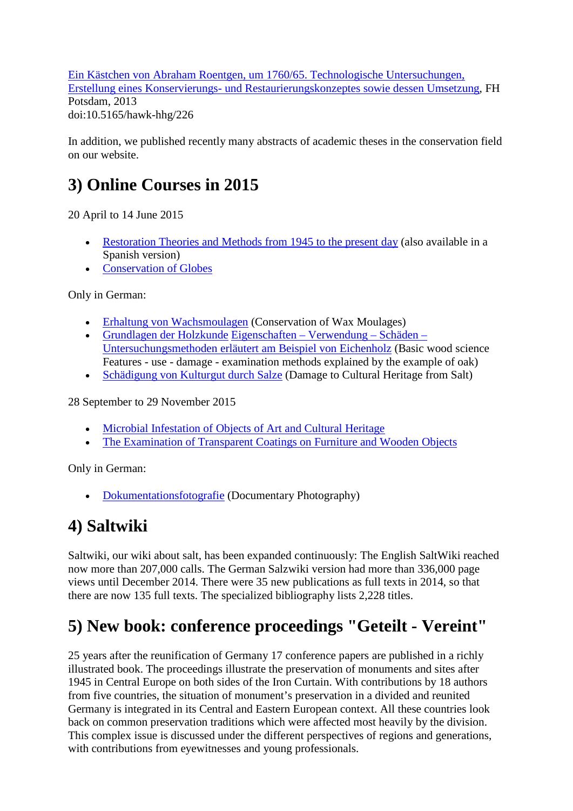[Ein Kästchen von Abraham Roentgen, um 1760/65. Technologische Untersuchungen,](http://www.hornemann-institut.de/german/epubl_hochschularbeiten2072.php)  Erstellung eines Konservierungs- [und Restaurierungskonzeptes sowie dessen Umsetzung,](http://www.hornemann-institut.de/german/epubl_hochschularbeiten2072.php) FH Potsdam, 2013 doi:10.5165/hawk-hhg/226

In addition, we published recently many abstracts of academic theses in the conservation field on our website.

## **3) Online Courses in 2015**

20 April to 14 June 2015

- [Restoration Theories and Methods from 1945 to the present day](https://www.hornemann-institut.de/english/course_restoration_theories.php) (also available in a Spanish version)
- [Conservation of Globes](https://www.hornemann-institut.de/english/course_globes.php)

Only in German:

- [Erhaltung von Wachsmoulagen](https://www.hornemann-institut.de/english/course_wax_moulages.php) (Conservation of Wax Moulages)
- [Grundlagen der Holzkunde](https://www.hornemann-institut.de/english/course_oak.php) [Eigenschaften –](https://www.hornemann-institut.de/english/course_oak.php) Verwendung Schäden [Untersuchungsmethoden erläutert am Beispiel von Eichenholz](https://www.hornemann-institut.de/english/course_oak.php) (Basic wood science Features - use - damage - examination methods explained by the example of oak)
- [Schädigung von Kulturgut durch Salze](https://www.hornemann-institut.de/english/course_salt.php) (Damage to Cultural Heritage from Salt)

28 September to 29 November 2015

- [Microbial Infestation of Objects of Art and Cultural Heritage](https://www.hornemann-institut.de/english/course_microbiology.php)
- [The Examination of Transparent Coatings on Furniture and Wooden Objects](https://www.hornemann-institut.de/english/course_coatings.php)

Only in German:

• [Dokumentationsfotografie](https://www.hornemann-institut.de/english/course_docu_photography.php) (Documentary Photography)

### **4) Saltwiki**

Saltwiki, our wiki about salt, has been expanded continuously: The English SaltWiki reached now more than 207,000 calls. The German Salzwiki version had more than 336,000 page views until December 2014. There were 35 new publications as full texts in 2014, so that there are now 135 full texts. The specialized bibliography lists 2,228 titles.

### **5) New book: conference proceedings "Geteilt - Vereint"**

25 years after the reunification of Germany 17 conference papers are published in a richly illustrated book. The proceedings illustrate the preservation of monuments and sites after 1945 in Central Europe on both sides of the Iron Curtain. With contributions by 18 authors from five countries, the situation of monument's preservation in a divided and reunited Germany is integrated in its Central and Eastern European context. All these countries look back on common preservation traditions which were affected most heavily by the division. This complex issue is discussed under the different perspectives of regions and generations, with contributions from eyewitnesses and young professionals.